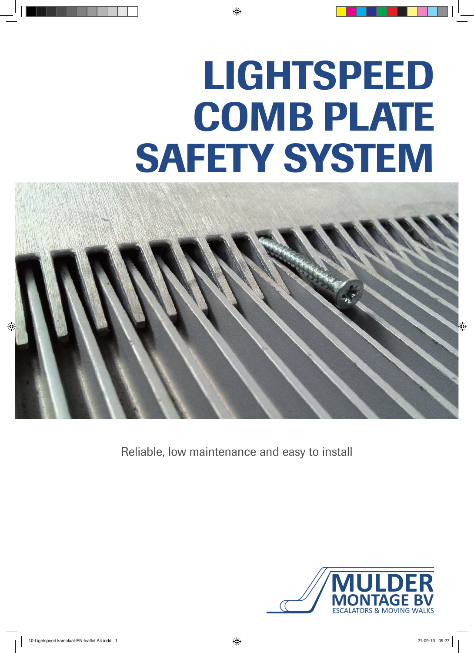# LIGHTSPEED COMB PLATE SAFETY SYSTEM



Reliable, low maintenance and easy to install